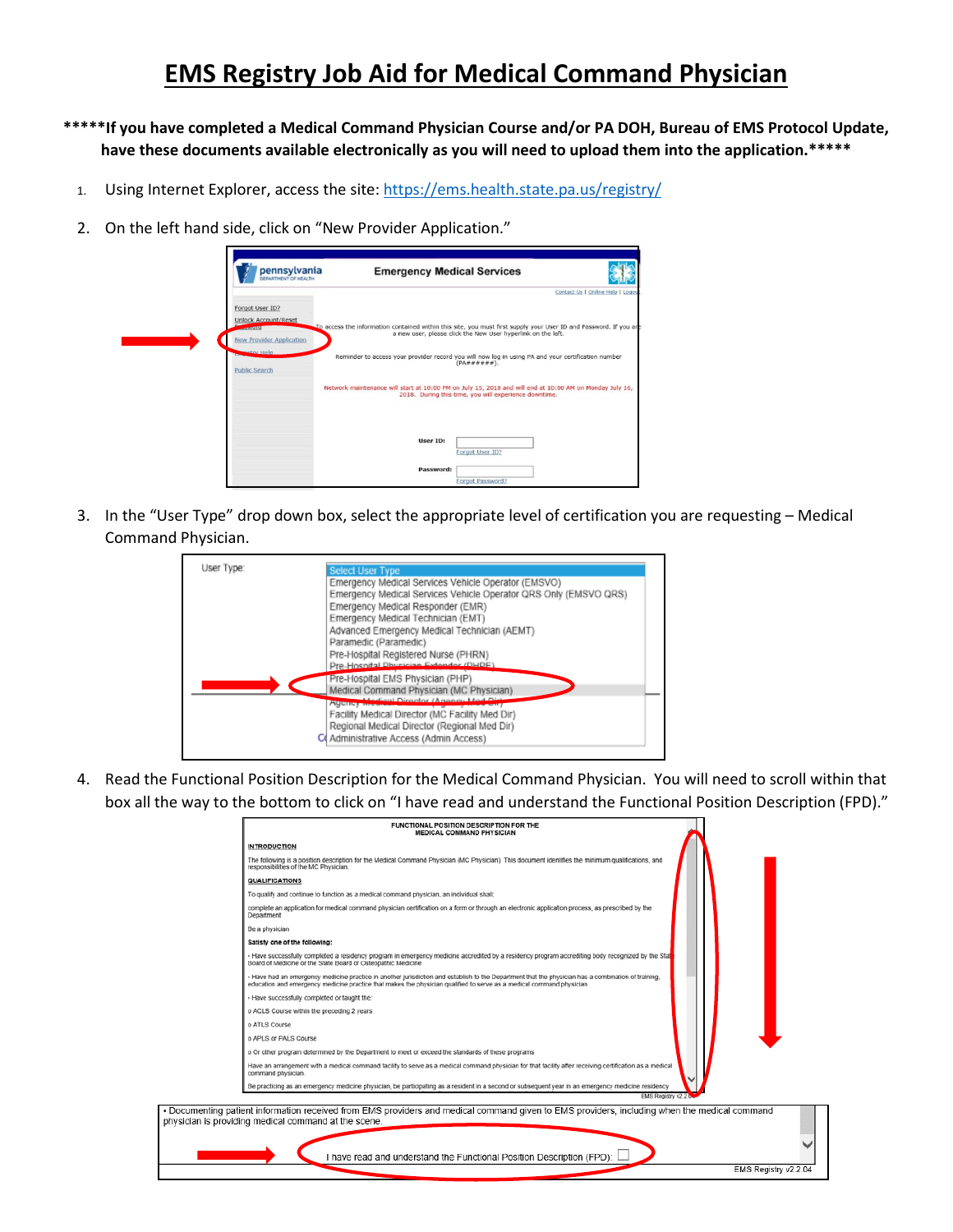## **EMS Registry Job Aid for Medical Command Physician**

- **\*\*\*\*\*If you have completed a Medical Command Physician Course and/or PA DOH, Bureau of EMS Protocol Update, have these documents available electronically as you will need to upload them into the application.\*\*\*\*\***
	- 1. Using Internet Explorer, access the site[: https://ems.health.state.pa.us/registry/](https://ems.health.state.pa.us/registry/)
	- 2. On the left hand side, click on "New Provider Application."

· Docume physician

| pennsylvania<br><b>DEPARTMENT OF HEALTH</b> | <b>Emergency Medical Services</b>                                                                                 |                                                              |                                  |
|---------------------------------------------|-------------------------------------------------------------------------------------------------------------------|--------------------------------------------------------------|----------------------------------|
|                                             |                                                                                                                   |                                                              | Contact Us   Online Help   Logou |
| Forgot User ID?                             |                                                                                                                   |                                                              |                                  |
| <b>Unlock Account/Reset</b>                 |                                                                                                                   |                                                              |                                  |
| <b>CONTRACTOR</b>                           | To access the information contained within this site, you must first supply your User ID and Password. If you are | a new user, please click the New User hyperlink on the left. |                                  |
| <b>New Provider Application</b>             |                                                                                                                   |                                                              |                                  |
| Jehry Help                                  | Reminder to access your provider record you will now log in using PA and your certification number                |                                                              |                                  |
| <b>Public Search</b>                        |                                                                                                                   | $(PA \# \# \# \# \# \#).$                                    |                                  |
|                                             |                                                                                                                   |                                                              |                                  |
|                                             | Network maintenance will start at 10:00 PM on July 15, 2018 and will end at 10:00 AM on Monday July 16,           | 2018. During this time, you will experience downtime.        |                                  |
|                                             |                                                                                                                   |                                                              |                                  |
|                                             |                                                                                                                   |                                                              |                                  |
|                                             |                                                                                                                   |                                                              |                                  |
|                                             | User ID:                                                                                                          |                                                              |                                  |
|                                             |                                                                                                                   | Forgot User ID?                                              |                                  |
|                                             | Password:                                                                                                         |                                                              |                                  |
|                                             |                                                                                                                   |                                                              |                                  |

3. In the "User Type" drop down box, select the appropriate level of certification you are requesting – Medical Command Physician.

| User Type: | <b>Select User Type</b>                                          |
|------------|------------------------------------------------------------------|
|            | Emergency Medical Services Vehicle Operator (EMSVO)              |
|            | Emergency Medical Services Vehicle Operator QRS Only (EMSVO QRS) |
|            | Emergency Medical Responder (EMR)                                |
|            | Emergency Medical Technician (EMT)                               |
|            | Advanced Emergency Medical Technician (AEMT)                     |
|            | Paramedic (Paramedic)                                            |
|            | Pre-Hospital Registered Nurse (PHRN)                             |
|            | Pre-Hospital Dhusician Extender (DHDE)                           |
|            | Pre-Hospital EMS Physician (PHP)                                 |
|            | Medical Command Physician (MC Physician)                         |
|            | diesel Princedor (Amazon: h<br><b>PURING HIMMA</b>               |
|            | Facility Medical Director (MC Facility Med Dir)                  |
|            | Regional Medical Director (Regional Med Dir)                     |
|            | C Administrative Access (Admin Access)                           |

4. Read the Functional Position Description for the Medical Command Physician. You will need to scroll within that box all the way to the bottom to click on "I have read and understand the Functional Position Description (FPD)."

|                     | FUNCTIONAL POSITION DESCRIPTION FOR THE<br><b>MEDICAL COMMAND PHYSICIAN</b>                                                                                                                                                                                                 |  |                      |  |
|---------------------|-----------------------------------------------------------------------------------------------------------------------------------------------------------------------------------------------------------------------------------------------------------------------------|--|----------------------|--|
| <b>INTRODUCTION</b> |                                                                                                                                                                                                                                                                             |  |                      |  |
|                     | The following is a position description for the Medical Command Physician (MC Physician). This document identifies the minimum qualifications, and<br>responsibilities of the MC Physician.                                                                                 |  |                      |  |
|                     | <b>QUALIFICATIONS</b>                                                                                                                                                                                                                                                       |  |                      |  |
|                     | To qualify and continue to function as a medical command physician, an individual shall;                                                                                                                                                                                    |  |                      |  |
| Department          | complete an application for medical command physician certification on a form or through an electronic application process, as prescribed by the                                                                                                                            |  |                      |  |
| Be a physician      |                                                                                                                                                                                                                                                                             |  |                      |  |
|                     | Satisfy one of the following:                                                                                                                                                                                                                                               |  |                      |  |
|                     | - Have successfully completed a residency program in emergency medicine accredited by a residency program accrediting body recognized by the Stat<br>Board of Medicine or the State Board of Osteopathic Medicine                                                           |  |                      |  |
|                     | - Have had an emergency medicine practice in another jurisdiction and establish to the Department that the physician has a combination of training,<br>education and emergency medicine practice that makes the physician qualified to serve as a medical command physician |  |                      |  |
|                     | . Have successfully completed or taught the:                                                                                                                                                                                                                                |  |                      |  |
|                     | o ACLS Course within the preceding 2 years                                                                                                                                                                                                                                  |  |                      |  |
| o ATLS Course       |                                                                                                                                                                                                                                                                             |  |                      |  |
|                     | o APLS or PALS Course                                                                                                                                                                                                                                                       |  |                      |  |
|                     | o Or other program determined by the Department to meet or exceed the standards of these programs                                                                                                                                                                           |  |                      |  |
|                     | Have an arrangement with a medical command facility to serve as a medical command physician for that facility after receiving certification as a medical<br>command physician.                                                                                              |  |                      |  |
|                     | Be practicing as an emergency medicine physician, be participating as a resident in a second or subsequent year in an emergency medicine residency                                                                                                                          |  |                      |  |
|                     | EMS Registry V2.2.                                                                                                                                                                                                                                                          |  |                      |  |
|                     | nting patient information received from EMS providers and medical command given to EMS providers, including when the medical command                                                                                                                                        |  |                      |  |
|                     | is providing medical command at the scene.                                                                                                                                                                                                                                  |  |                      |  |
|                     |                                                                                                                                                                                                                                                                             |  |                      |  |
|                     | I have read and understand the Functional Position Description (FPD):                                                                                                                                                                                                       |  |                      |  |
|                     |                                                                                                                                                                                                                                                                             |  | EMS Registry v2.2.04 |  |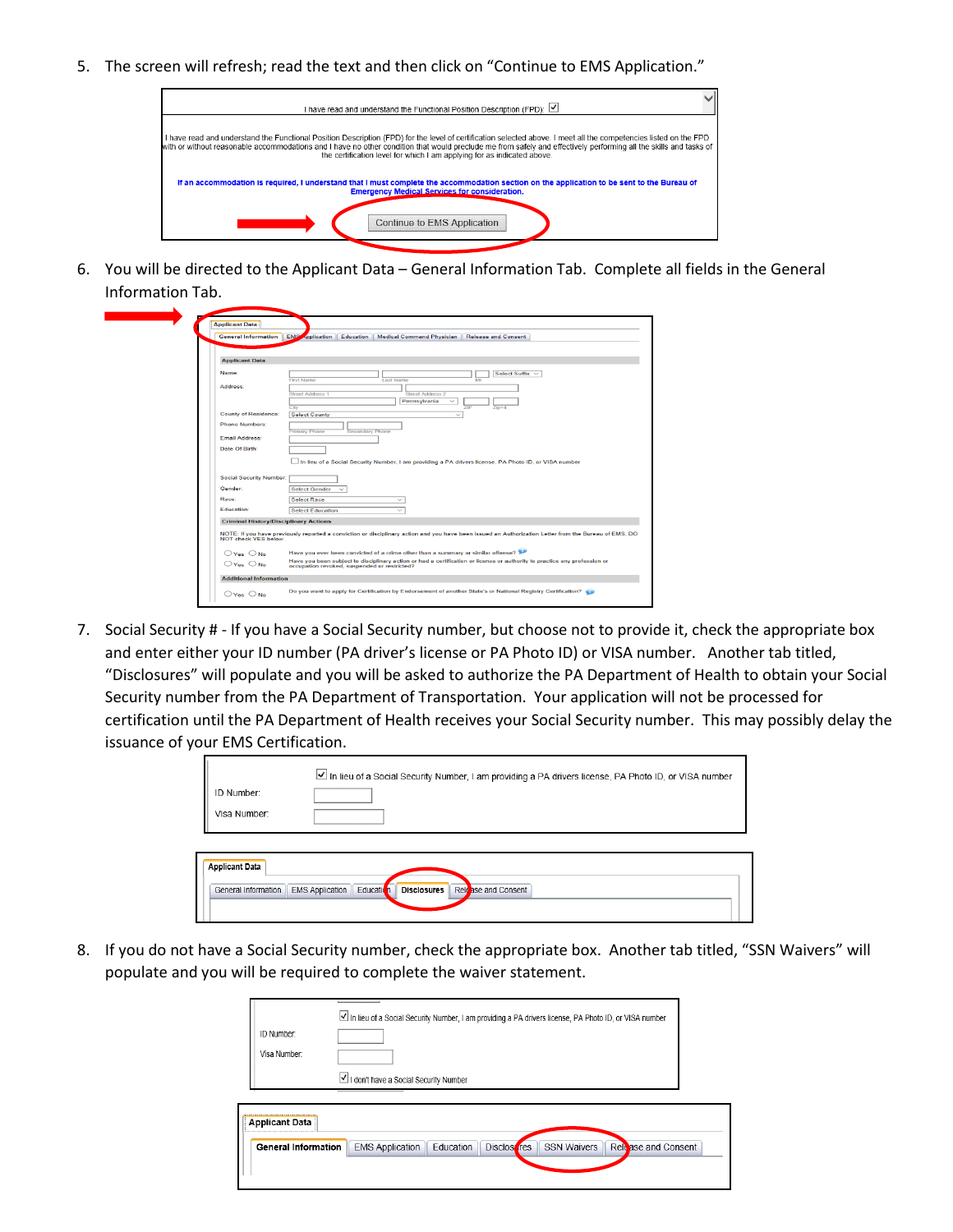5. The screen will refresh; read the text and then click on "Continue to EMS Application."



6. You will be directed to the Applicant Data – General Information Tab. Complete all fields in the General Information Tab.

| <b>General Information</b>                   | <b>EMS</b><br>oplication<br>Medical Command Physician   Release and Consent<br>Education                                                                                      |
|----------------------------------------------|-------------------------------------------------------------------------------------------------------------------------------------------------------------------------------|
|                                              |                                                                                                                                                                               |
| <b>Applicant Data</b>                        |                                                                                                                                                                               |
| Name:                                        | <b>Select Suffix</b>                                                                                                                                                          |
|                                              | M<br><b>First Name</b><br><b>Last Name</b>                                                                                                                                    |
| Address:                                     | <b>Street Address 1</b><br><b>Street Address 2</b>                                                                                                                            |
|                                              | Pennsylvania                                                                                                                                                                  |
|                                              | City<br>ZIP<br>$Z$ in+4                                                                                                                                                       |
| <b>County of Residence:</b>                  | <b>Select County</b><br>$\checkmark$                                                                                                                                          |
| <b>Phone Numbers:</b>                        | Primary Phone<br>Secondary Phone                                                                                                                                              |
| Email Address:                               |                                                                                                                                                                               |
| Date Of Birth:                               |                                                                                                                                                                               |
|                                              |                                                                                                                                                                               |
|                                              | In lieu of a Social Security Number, I am providing a PA drivers license, PA Photo ID, or VISA number                                                                         |
| <b>Social Security Number:</b>               |                                                                                                                                                                               |
| Gender:                                      | <b>Select Gender</b>                                                                                                                                                          |
| Race:                                        | <b>Select Race</b><br>$\checkmark$                                                                                                                                            |
| Education:                                   | $\checkmark$                                                                                                                                                                  |
|                                              | <b>Select Education</b>                                                                                                                                                       |
| <b>Criminal History/Disciplinary Actions</b> |                                                                                                                                                                               |
|                                              | NOTE: If you have previously reported a conviction or disciplinary action and you have been issued an Authorization Letter from the Bureau of EMS, DO<br>NOT check YES below. |
|                                              |                                                                                                                                                                               |
| $OYes$ $ONo$                                 | Have you ever been convicted of a crime other than a summary or similar offense?                                                                                              |
| $O$ Yes $O$ No.                              | Have you been subject to disciplinary action or had a certification or license or authority to practice any profession or<br>occupation revoked, suspended or restricted?     |
|                                              |                                                                                                                                                                               |
| <b>Additional Information</b>                |                                                                                                                                                                               |

7. Social Security # - If you have a Social Security number, but choose not to provide it, check the appropriate box and enter either your ID number (PA driver's license or PA Photo ID) or VISA number. Another tab titled, "Disclosures" will populate and you will be asked to authorize the PA Department of Health to obtain your Social Security number from the PA Department of Transportation. Your application will not be processed for certification until the PA Department of Health receives your Social Security number. This may possibly delay the issuance of your EMS Certification.

| ID Number:<br>Visa Number:                   | In lieu of a Social Security Number, I am providing a PA drivers license, PA Photo ID, or VISA number |
|----------------------------------------------|-------------------------------------------------------------------------------------------------------|
| <b>Applicant Data</b><br>General Information | Education<br>Release and Consent<br><b>EMS Application</b><br>Disclosures                             |

8. If you do not have a Social Security number, check the appropriate box. Another tab titled, "SSN Waivers" will populate and you will be required to complete the waiver statement.

| ID Number:<br>Visa Number: | In lieu of a Social Security Number, I am providing a PA drivers license, PA Photo ID, or VISA number                               |
|----------------------------|-------------------------------------------------------------------------------------------------------------------------------------|
|                            | I don't have a Social Security Number                                                                                               |
| <b>Applicant Data</b>      | Relase and Consent<br><b>Disclos</b> res<br><b>SSN Waivers</b><br>Education<br><b>General Information</b><br><b>EMS Application</b> |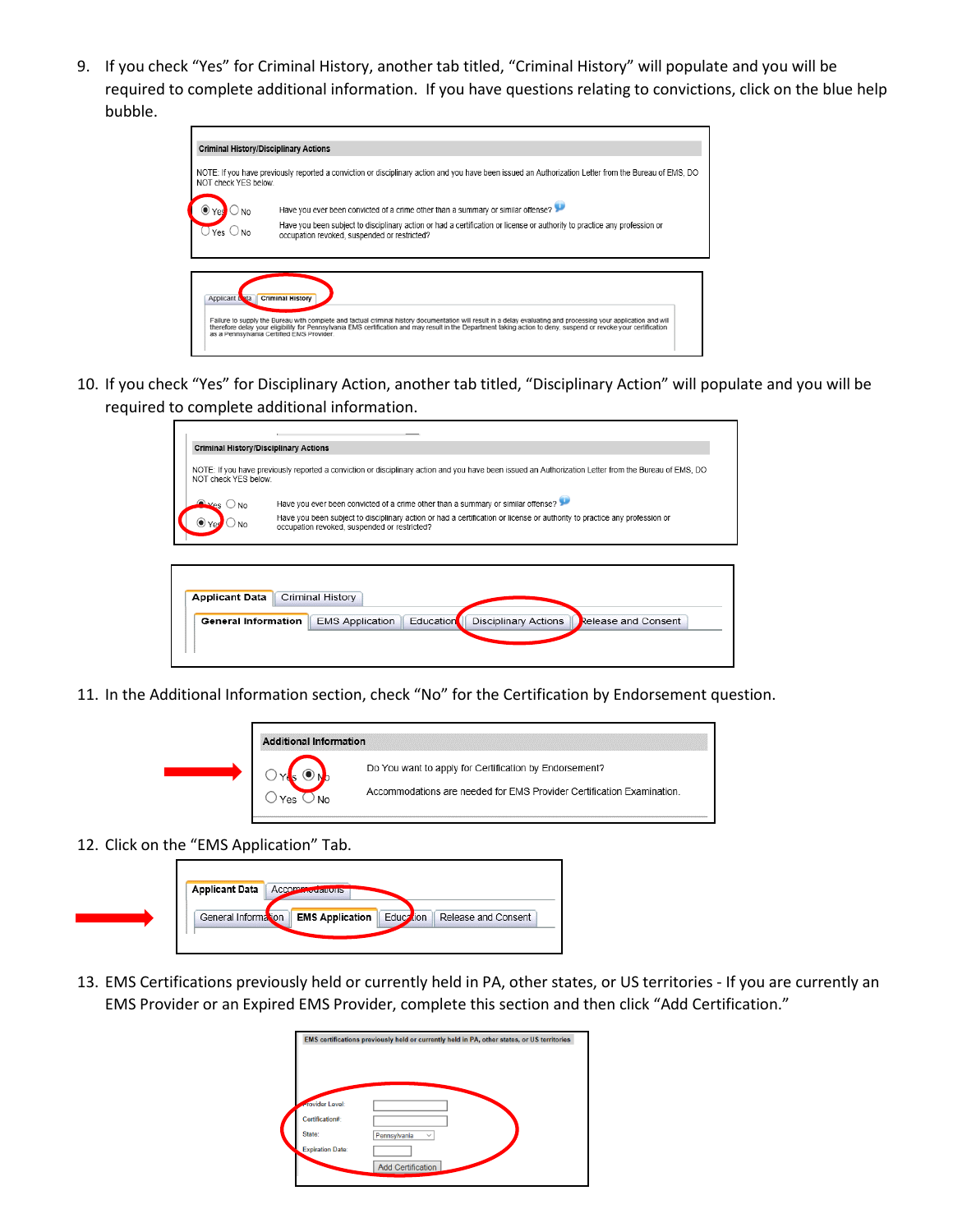9. If you check "Yes" for Criminal History, another tab titled, "Criminal History" will populate and you will be required to complete additional information. If you have questions relating to convictions, click on the blue help bubble.

| NOT check YES below.  | NOTE: If you have previously reported a conviction or disciplinary action and you have been issued an Authorization Letter from the Bureau of EMS, DO                     |
|-----------------------|---------------------------------------------------------------------------------------------------------------------------------------------------------------------------|
|                       | Have you ever been convicted of a crime other than a summary or similar offense?                                                                                          |
| $Yes \bigcirc$ No.    | Have you been subject to disciplinary action or had a certification or license or authority to practice any profession or<br>occupation revoked, suspended or restricted? |
|                       |                                                                                                                                                                           |
|                       |                                                                                                                                                                           |
| <b>Applicant Lota</b> | <b>Criminal History</b>                                                                                                                                                   |

10. If you check "Yes" for Disciplinary Action, another tab titled, "Disciplinary Action" will populate and you will be required to complete additional information.

|                                                    | <b>Criminal History/Disciplinary Actions</b>                                                                                                                              |
|----------------------------------------------------|---------------------------------------------------------------------------------------------------------------------------------------------------------------------------|
| NOT check YES below.                               | NOTE: If you have previously reported a conviction or disciplinary action and you have been issued an Authorization Letter from the Bureau of EMS, DO                     |
| $\bigcirc$ <sub>Yes</sub> $\bigcirc$ <sub>No</sub> | Have you ever been convicted of a crime other than a summary or similar offense?                                                                                          |
|                                                    | Have you been subject to disciplinary action or had a certification or license or authority to practice any profession or<br>occupation revoked, suspended or restricted? |
|                                                    |                                                                                                                                                                           |
|                                                    |                                                                                                                                                                           |
| <b>Applicant Data</b>                              | Criminal History                                                                                                                                                          |
| <b>General Information</b>                         | <b>Education</b><br><b>EMS Application</b><br><b>Disciplinary Actions</b><br>Release and Consent                                                                          |
|                                                    |                                                                                                                                                                           |

11. In the Additional Information section, check "No" for the Certification by Endorsement question.

| <b>Additional Information</b> |                                                                                                                                 |
|-------------------------------|---------------------------------------------------------------------------------------------------------------------------------|
| No<br>Yes                     | Do You want to apply for Certification by Endorsement?<br>Accommodations are needed for EMS Provider Certification Examination. |

12. Click on the "EMS Application" Tab.

| <b>Applicant Data Accommodations</b> |                        |           |                     |
|--------------------------------------|------------------------|-----------|---------------------|
| General Information                  | <b>EMS Application</b> | Education | Release and Consent |

13. EMS Certifications previously held or currently held in PA, other states, or US territories - If you are currently an EMS Provider or an Expired EMS Provider, complete this section and then click "Add Certification."

|                         | EMS certifications previously held or currently held in PA, other states, or US territories |
|-------------------------|---------------------------------------------------------------------------------------------|
|                         |                                                                                             |
|                         |                                                                                             |
| <b>Frovider Level:</b>  |                                                                                             |
| Certification#:         |                                                                                             |
| State:                  | Pennsylvania<br>$\checkmark$                                                                |
| <b>Expiration Date:</b> |                                                                                             |
|                         |                                                                                             |
|                         | <b>Add Certification</b>                                                                    |